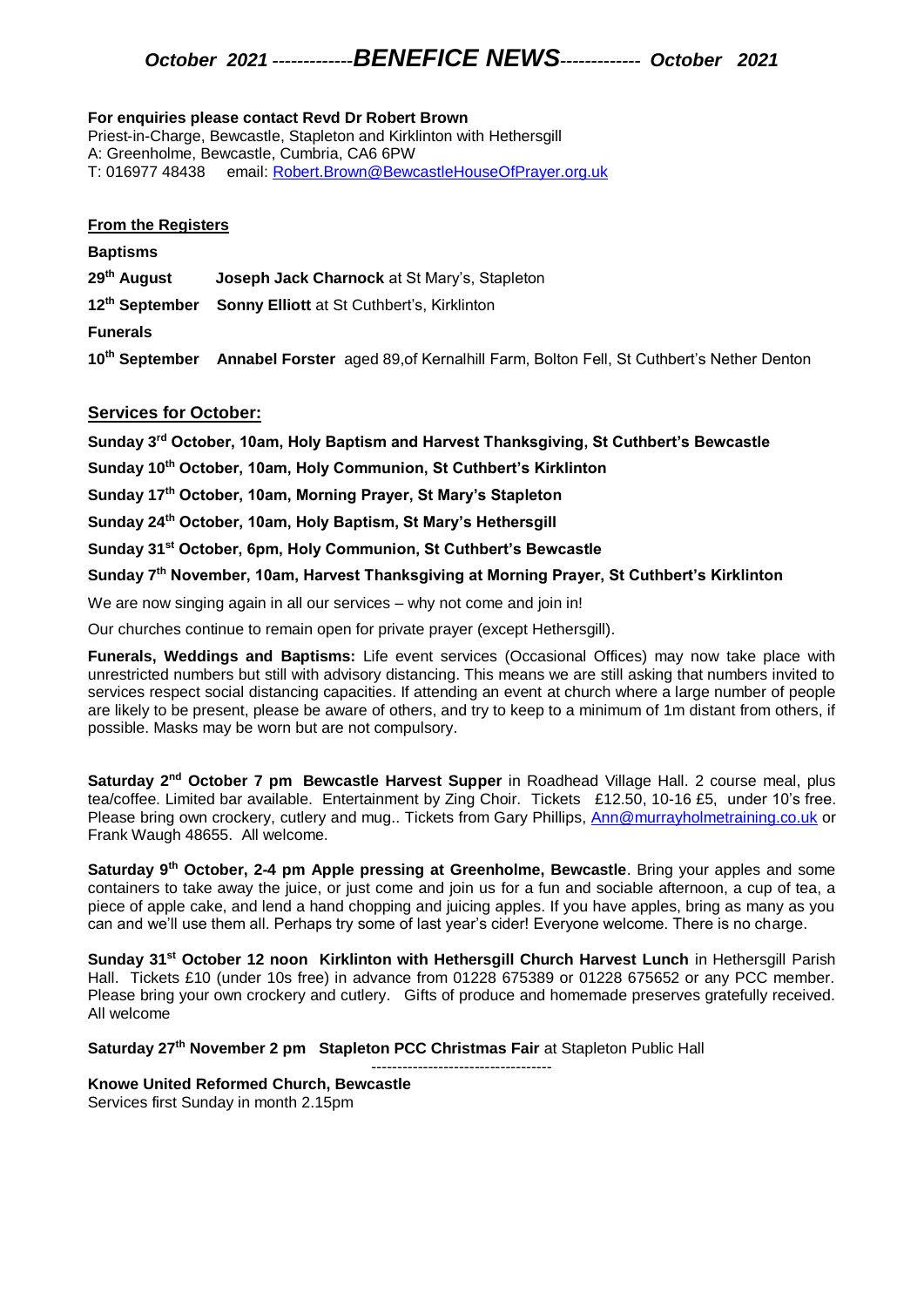# *October 2021 -------------BENEFICE NEWS------------- October 2021*

#### **For enquiries please contact Revd Dr Robert Brown**

Priest-in-Charge, Bewcastle, Stapleton and Kirklinton with Hethersgill A: Greenholme, Bewcastle, Cumbria, CA6 6PW T: 016977 48438 email: [Robert.Brown@BewcastleHouseOfPrayer.org.uk](mailto:Robert.Brown@BewcastleHouseOfPrayer.org.uk)

### **From the Registers**

### **Baptisms**

**29th August Joseph Jack Charnock** at St Mary's, Stapleton

**12th September Sonny Elliott** at St Cuthbert's, Kirklinton

**Funerals**

**10th September Annabel Forster** aged 89,of Kernalhill Farm, Bolton Fell, St Cuthbert's Nether Denton

## **Services for October:**

**Sunday 3rd October, 10am, Holy Baptism and Harvest Thanksgiving, St Cuthbert's Bewcastle**

**Sunday 10th October, 10am, Holy Communion, St Cuthbert's Kirklinton**

**Sunday 17th October, 10am, Morning Prayer, St Mary's Stapleton**

**Sunday 24th October, 10am, Holy Baptism, St Mary's Hethersgill**

**Sunday 31st October, 6pm, Holy Communion, St Cuthbert's Bewcastle**

**Sunday 7th November, 10am, Harvest Thanksgiving at Morning Prayer, St Cuthbert's Kirklinton**

We are now singing again in all our services – why not come and join in!

Our churches continue to remain open for private prayer (except Hethersgill).

**Funerals, Weddings and Baptisms:** Life event services (Occasional Offices) may now take place with unrestricted numbers but still with advisory distancing. This means we are still asking that numbers invited to services respect social distancing capacities. If attending an event at church where a large number of people are likely to be present, please be aware of others, and try to keep to a minimum of 1m distant from others, if possible. Masks may be worn but are not compulsory.

**Saturday 2nd October 7 pm Bewcastle Harvest Supper** in Roadhead Village Hall. 2 course meal, plus tea/coffee. Limited bar available. Entertainment by Zing Choir. Tickets £12.50, 10-16 £5, under 10's free. Please bring own crockery, cutlery and mug.. Tickets from Gary Phillips, [Ann@murrayholmetraining.co.uk](mailto:Ann@murrayholmetraining.co.uk) or Frank Waugh 48655. All welcome.

**Saturday 9th October, 2-4 pm Apple pressing at Greenholme, Bewcastle**. Bring your apples and some containers to take away the juice, or just come and join us for a fun and sociable afternoon, a cup of tea, a piece of apple cake, and lend a hand chopping and juicing apples. If you have apples, bring as many as you can and we'll use them all. Perhaps try some of last year's cider! Everyone welcome. There is no charge.

**Sunday 31st October 12 noon Kirklinton with Hethersgill Church Harvest Lunch** in Hethersgill Parish Hall. Tickets £10 (under 10s free) in advance from 01228 675389 or 01228 675652 or any PCC member. Please bring your own crockery and cutlery. Gifts of produce and homemade preserves gratefully received. All welcome

**Saturday 27th November 2 pm Stapleton PCC Christmas Fair** at Stapleton Public Hall

#### ----------------------------------- **Knowe United Reformed Church, Bewcastle** Services first Sunday in month 2.15pm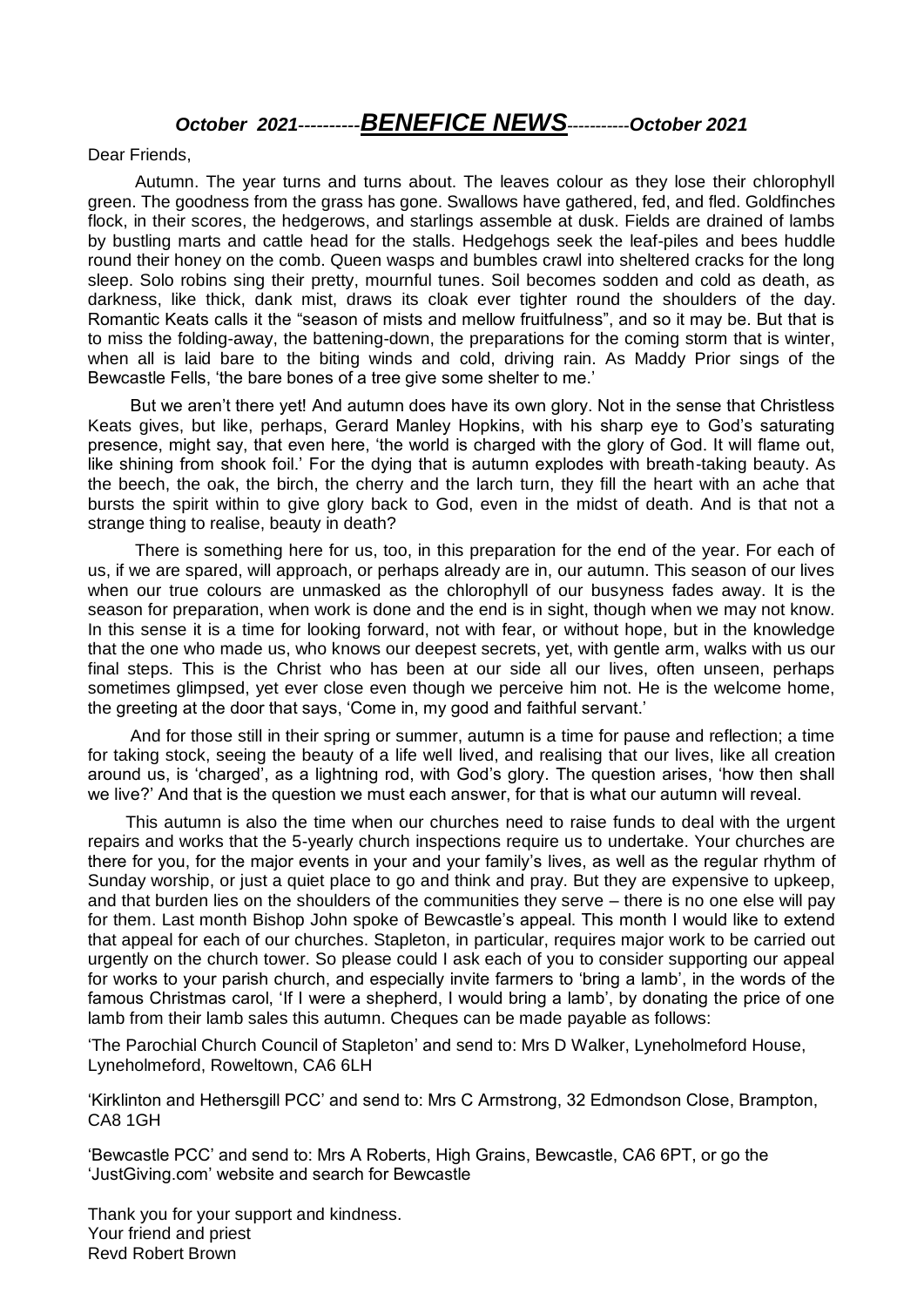# *October 2021----------BENEFICE NEWS-----------October 2021*

Dear Friends,

 Autumn. The year turns and turns about. The leaves colour as they lose their chlorophyll green. The goodness from the grass has gone. Swallows have gathered, fed, and fled. Goldfinches flock, in their scores, the hedgerows, and starlings assemble at dusk. Fields are drained of lambs by bustling marts and cattle head for the stalls. Hedgehogs seek the leaf-piles and bees huddle round their honey on the comb. Queen wasps and bumbles crawl into sheltered cracks for the long sleep. Solo robins sing their pretty, mournful tunes. Soil becomes sodden and cold as death, as darkness, like thick, dank mist, draws its cloak ever tighter round the shoulders of the day. Romantic Keats calls it the "season of mists and mellow fruitfulness", and so it may be. But that is to miss the folding-away, the battening-down, the preparations for the coming storm that is winter, when all is laid bare to the biting winds and cold, driving rain. As Maddy Prior sings of the Bewcastle Fells, 'the bare bones of a tree give some shelter to me.'

 But we aren't there yet! And autumn does have its own glory. Not in the sense that Christless Keats gives, but like, perhaps, Gerard Manley Hopkins, with his sharp eye to God's saturating presence, might say, that even here, 'the world is charged with the glory of God. It will flame out, like shining from shook foil.' For the dying that is autumn explodes with breath-taking beauty. As the beech, the oak, the birch, the cherry and the larch turn, they fill the heart with an ache that bursts the spirit within to give glory back to God, even in the midst of death. And is that not a strange thing to realise, beauty in death?

 There is something here for us, too, in this preparation for the end of the year. For each of us, if we are spared, will approach, or perhaps already are in, our autumn. This season of our lives when our true colours are unmasked as the chlorophyll of our busyness fades away. It is the season for preparation, when work is done and the end is in sight, though when we may not know. In this sense it is a time for looking forward, not with fear, or without hope, but in the knowledge that the one who made us, who knows our deepest secrets, yet, with gentle arm, walks with us our final steps. This is the Christ who has been at our side all our lives, often unseen, perhaps sometimes glimpsed, yet ever close even though we perceive him not. He is the welcome home, the greeting at the door that says, 'Come in, my good and faithful servant.'

 And for those still in their spring or summer, autumn is a time for pause and reflection; a time for taking stock, seeing the beauty of a life well lived, and realising that our lives, like all creation around us, is 'charged', as a lightning rod, with God's glory. The question arises, 'how then shall we live?' And that is the question we must each answer, for that is what our autumn will reveal.

 This autumn is also the time when our churches need to raise funds to deal with the urgent repairs and works that the 5-yearly church inspections require us to undertake. Your churches are there for you, for the major events in your and your family's lives, as well as the regular rhythm of Sunday worship, or just a quiet place to go and think and pray. But they are expensive to upkeep, and that burden lies on the shoulders of the communities they serve – there is no one else will pay for them. Last month Bishop John spoke of Bewcastle's appeal. This month I would like to extend that appeal for each of our churches. Stapleton, in particular, requires major work to be carried out urgently on the church tower. So please could I ask each of you to consider supporting our appeal for works to your parish church, and especially invite farmers to 'bring a lamb', in the words of the famous Christmas carol, 'If I were a shepherd, I would bring a lamb', by donating the price of one lamb from their lamb sales this autumn. Cheques can be made payable as follows:

'The Parochial Church Council of Stapleton' and send to: Mrs D Walker, Lyneholmeford House, Lyneholmeford, Roweltown, CA6 6LH

'Kirklinton and Hethersgill PCC' and send to: Mrs C Armstrong, 32 Edmondson Close, Brampton, CA8 1GH

'Bewcastle PCC' and send to: Mrs A Roberts, High Grains, Bewcastle, CA6 6PT, or go the 'JustGiving.com' website and search for Bewcastle

Thank you for your support and kindness. Your friend and priest Revd Robert Brown